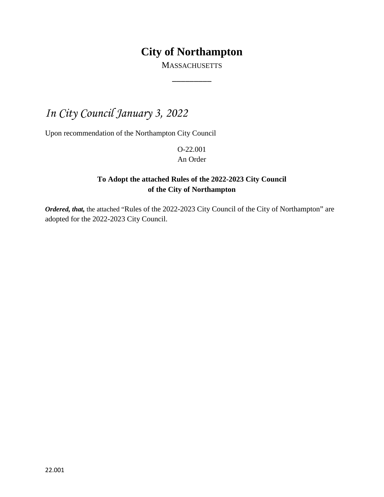### **City of Northampton**

**MASSACHUSETTS**  $\overline{\phantom{a}}$ 

## *In City Council January 3, 2022*

Upon recommendation of the Northampton City Council

O-22.001 An Order

### **To Adopt the attached Rules of the 2022-2023 City Council of the City of Northampton**

*Ordered, that,* the attached "Rules of the 2022-2023 City Council of the City of Northampton" are adopted for the 2022-2023 City Council.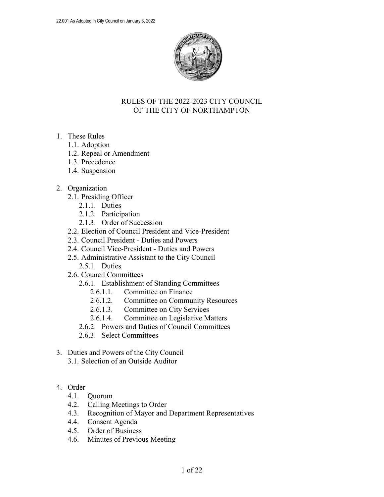

#### RULES OF THE 2022-2023 CITY COUNCIL OF THE CITY OF NORTHAMPTON

- 1. These Rules
	- 1.1. Adoption
	- 1.2. Repeal or Amendment
	- 1.3. Precedence
	- 1.4. Suspension

#### 2. Organization

- 2.1. Presiding Officer
	- 2.1.1. Duties
	- 2.1.2. Participation
	- 2.1.3. Order of Succession
- 2.2. Election of Council President and Vice-President
- 2.3. Council President Duties and Powers
- 2.4. Council Vice-President Duties and Powers
- 2.5. Administrative Assistant to the City Council 2.5.1. Duties
- 2.6. Council Committees
	- 2.6.1. Establishment of Standing Committees
		- 2.6.1.1. Committee on Finance
		- 2.6.1.2. Committee on Community Resources
		- 2.6.1.3. Committee on City Services
		- 2.6.1.4. Committee on Legislative Matters
	- 2.6.2. Powers and Duties of Council Committees
	- 2.6.3. Select Committees
- 3. Duties and Powers of the City Council 3.1. Selection of an Outside Auditor

#### 4. Order

- 4.1. Quorum
- 4.2. Calling Meetings to Order
- 4.3. Recognition of Mayor and Department Representatives
- 4.4. Consent Agenda
- 4.5. Order of Business
- 4.6. Minutes of Previous Meeting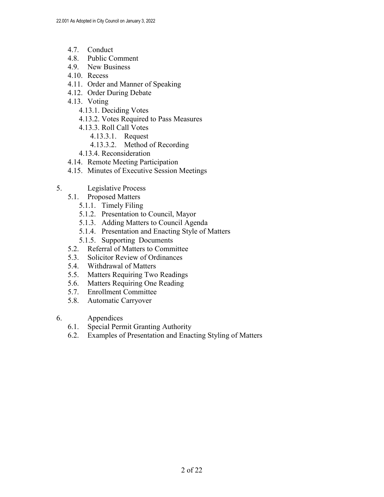- 4.7. Conduct
- 4.8. Public Comment
- 4.9. New Business
- 4.10. Recess
- 4.11. Order and Manner of Speaking
- 4.12. Order During Debate
- 4.13. Voting
	- 4.13.1. Deciding Votes
	- 4.13.2. Votes Required to Pass Measures
	- 4.13.3. Roll Call Votes
		- 4.13.3.1. Request
		- 4.13.3.2. Method of Recording
	- 4.13.4. Reconsideration
- 4.14. Remote Meeting Participation
- 4.15. Minutes of Executive Session Meetings
- 5. Legislative Process
	- 5.1. Proposed Matters
		- 5.1.1. Timely Filing
		- 5.1.2. Presentation to Council, Mayor
		- 5.1.3. Adding Matters to Council Agenda
		- 5.1.4. Presentation and Enacting Style of Matters
		- 5.1.5. Supporting Documents
	- 5.2. Referral of Matters to Committee
	- 5.3. Solicitor Review of Ordinances
	- 5.4. Withdrawal of Matters
	- 5.5. Matters Requiring Two Readings
	- 5.6. Matters Requiring One Reading
	- 5.7. Enrollment Committee
	- 5.8. Automatic Carryover
- 6. Appendices
	- 6.1. Special Permit Granting Authority
	- 6.2. Examples of Presentation and Enacting Styling of Matters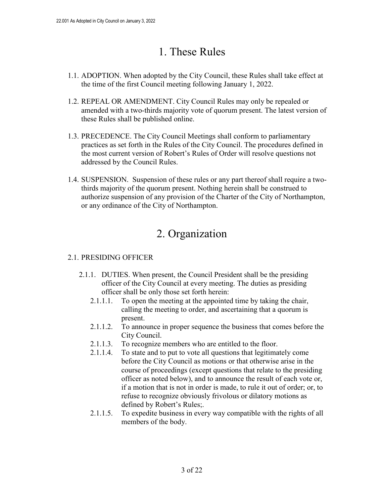## 1. These Rules

- 1.1. ADOPTION. When adopted by the City Council, these Rules shall take effect at the time of the first Council meeting following January 1, 2022.
- 1.2. REPEAL OR AMENDMENT. City Council Rules may only be repealed or amended with a two-thirds majority vote of quorum present. The latest version of these Rules shall be published online.
- 1.3. PRECEDENCE. The City Council Meetings shall conform to parliamentary practices as set forth in the Rules of the City Council. The procedures defined in the most current version of Robert's Rules of Order will resolve questions not addressed by the Council Rules.
- 1.4. SUSPENSION. Suspension of these rules or any part thereof shall require a twothirds majority of the quorum present. Nothing herein shall be construed to authorize suspension of any provision of the Charter of the City of Northampton, or any ordinance of the City of Northampton.

## 2. Organization

### 2.1. PRESIDING OFFICER

- 2.1.1. DUTIES. When present, the Council President shall be the presiding officer of the City Council at every meeting. The duties as presiding officer shall be only those set forth herein:
	- 2.1.1.1. To open the meeting at the appointed time by taking the chair, calling the meeting to order, and ascertaining that a quorum is present.
	- 2.1.1.2. To announce in proper sequence the business that comes before the City Council.
	- 2.1.1.3. To recognize members who are entitled to the floor.
	- 2.1.1.4. To state and to put to vote all questions that legitimately come before the City Council as motions or that otherwise arise in the course of proceedings (except questions that relate to the presiding officer as noted below), and to announce the result of each vote or, if a motion that is not in order is made, to rule it out of order; or, to refuse to recognize obviously frivolous or dilatory motions as defined by Robert's Rules;.
	- 2.1.1.5. To expedite business in every way compatible with the rights of all members of the body.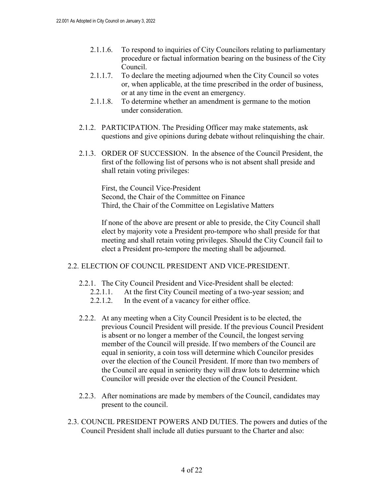- 2.1.1.6. To respond to inquiries of City Councilors relating to parliamentary procedure or factual information bearing on the business of the City Council.
- 2.1.1.7. To declare the meeting adjourned when the City Council so votes or, when applicable, at the time prescribed in the order of business, or at any time in the event an emergency.
- 2.1.1.8. To determine whether an amendment is germane to the motion under consideration.
- 2.1.2. PARTICIPATION. The Presiding Officer may make statements, ask questions and give opinions during debate without relinquishing the chair.
- 2.1.3. ORDER OF SUCCESSION. In the absence of the Council President, the first of the following list of persons who is not absent shall preside and shall retain voting privileges:

First, the Council Vice-President Second, the Chair of the Committee on Finance Third, the Chair of the Committee on Legislative Matters

If none of the above are present or able to preside, the City Council shall elect by majority vote a President pro-tempore who shall preside for that meeting and shall retain voting privileges. Should the City Council fail to elect a President pro-tempore the meeting shall be adjourned.

#### 2.2. ELECTION OF COUNCIL PRESIDENT AND VICE-PRESIDENT.

- 2.2.1. The City Council President and Vice-President shall be elected:
	- 2.2.1.1. At the first City Council meeting of a two-year session; and
	- 2.2.1.2. In the event of a vacancy for either office.
- 2.2.2. At any meeting when a City Council President is to be elected, the previous Council President will preside. If the previous Council President is absent or no longer a member of the Council, the longest serving member of the Council will preside. If two members of the Council are equal in seniority, a coin toss will determine which Councilor presides over the election of the Council President. If more than two members of the Council are equal in seniority they will draw lots to determine which Councilor will preside over the election of the Council President.
- 2.2.3. After nominations are made by members of the Council, candidates may present to the council.
- 2.3. COUNCIL PRESIDENT POWERS AND DUTIES. The powers and duties of the Council President shall include all duties pursuant to the Charter and also: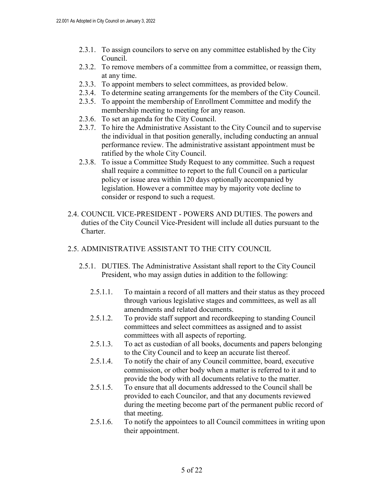- 2.3.1. To assign councilors to serve on any committee established by the City Council.
- 2.3.2. To remove members of a committee from a committee, or reassign them, at any time.
- 2.3.3. To appoint members to select committees, as provided below.
- 2.3.4. To determine seating arrangements for the members of the City Council.
- 2.3.5. To appoint the membership of Enrollment Committee and modify the membership meeting to meeting for any reason.
- 2.3.6. To set an agenda for the City Council.
- 2.3.7. To hire the Administrative Assistant to the City Council and to supervise the individual in that position generally, including conducting an annual performance review. The administrative assistant appointment must be ratified by the whole City Council.
- 2.3.8. To issue a Committee Study Request to any committee. Such a request shall require a committee to report to the full Council on a particular policy or issue area within 120 days optionally accompanied by legislation. However a committee may by majority vote decline to consider or respond to such a request.
- 2.4. COUNCIL VICE-PRESIDENT POWERS AND DUTIES. The powers and duties of the City Council Vice-President will include all duties pursuant to the Charter.

#### 2.5. ADMINISTRATIVE ASSISTANT TO THE CITY COUNCIL

- 2.5.1. DUTIES. The Administrative Assistant shall report to the City Council President, who may assign duties in addition to the following:
	- 2.5.1.1. To maintain a record of all matters and their status as they proceed through various legislative stages and committees, as well as all amendments and related documents.
	- 2.5.1.2. To provide staff support and recordkeeping to standing Council committees and select committees as assigned and to assist committees with all aspects of reporting.
	- 2.5.1.3. To act as custodian of all books, documents and papers belonging to the City Council and to keep an accurate list thereof.
	- 2.5.1.4. To notify the chair of any Council committee, board, executive commission, or other body when a matter is referred to it and to provide the body with all documents relative to the matter.
	- 2.5.1.5. To ensure that all documents addressed to the Council shall be provided to each Councilor, and that any documents reviewed during the meeting become part of the permanent public record of that meeting.
	- 2.5.1.6. To notify the appointees to all Council committees in writing upon their appointment.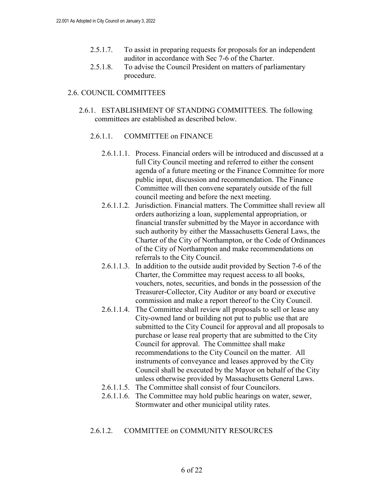- 2.5.1.7. To assist in preparing requests for proposals for an independent auditor in accordance with Sec 7-6 of the Charter.
- 2.5.1.8. To advise the Council President on matters of parliamentary procedure.

#### 2.6. COUNCIL COMMITTEES

2.6.1. ESTABLISHMENT OF STANDING COMMITTEES. The following committees are established as described below.

#### 2.6.1.1. COMMITTEE on FINANCE

- 2.6.1.1.1. Process. Financial orders will be introduced and discussed at a full City Council meeting and referred to either the consent agenda of a future meeting or the Finance Committee for more public input, discussion and recommendation. The Finance Committee will then convene separately outside of the full council meeting and before the next meeting.
- 2.6.1.1.2. Jurisdiction. Financial matters. The Committee shall review all orders authorizing a loan, supplemental appropriation, or financial transfer submitted by the Mayor in accordance with such authority by either the Massachusetts General Laws, the Charter of the City of Northampton, or the Code of Ordinances of the City of Northampton and make recommendations on referrals to the City Council.
- 2.6.1.1.3. In addition to the outside audit provided by Section 7-6 of the Charter, the Committee may request access to all books, vouchers, notes, securities, and bonds in the possession of the Treasurer-Collector, City Auditor or any board or executive commission and make a report thereof to the City Council.
- 2.6.1.1.4. The Committee shall review all proposals to sell or lease any City-owned land or building not put to public use that are submitted to the City Council for approval and all proposals to purchase or lease real property that are submitted to the City Council for approval. The Committee shall make recommendations to the City Council on the matter. All instruments of conveyance and leases approved by the City Council shall be executed by the Mayor on behalf of the City unless otherwise provided by Massachusetts General Laws.
- 2.6.1.1.5. The Committee shall consist of four Councilors.
- 2.6.1.1.6. The Committee may hold public hearings on water, sewer, Stormwater and other municipal utility rates.

#### 2.6.1.2. COMMITTEE on COMMUNITY RESOURCES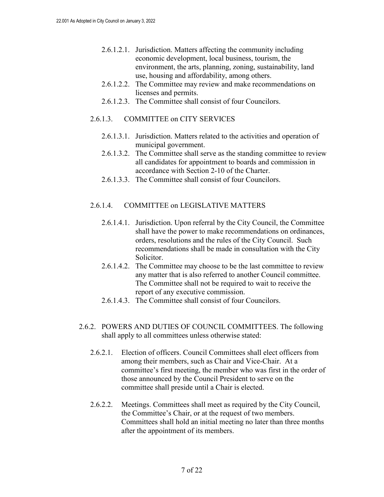- 2.6.1.2.1. Jurisdiction. Matters affecting the community including economic development, local business, tourism, the environment, the arts, planning, zoning, sustainability, land use, housing and affordability, among others.
- 2.6.1.2.2. The Committee may review and make recommendations on licenses and permits.
- 2.6.1.2.3. The Committee shall consist of four Councilors.

#### 2.6.1.3. COMMITTEE on CITY SERVICES

- 2.6.1.3.1. Jurisdiction. Matters related to the activities and operation of municipal government.
- 2.6.1.3.2. The Committee shall serve as the standing committee to review all candidates for appointment to boards and commission in accordance with Section 2-10 of the Charter.
- 2.6.1.3.3. The Committee shall consist of four Councilors.

#### 2.6.1.4. COMMITTEE on LEGISLATIVE MATTERS

- 2.6.1.4.1. Jurisdiction. Upon referral by the City Council, the Committee shall have the power to make recommendations on ordinances, orders, resolutions and the rules of the City Council. Such recommendations shall be made in consultation with the City Solicitor.
- 2.6.1.4.2. The Committee may choose to be the last committee to review any matter that is also referred to another Council committee. The Committee shall not be required to wait to receive the report of any executive commission.
- 2.6.1.4.3. The Committee shall consist of four Councilors.
- 2.6.2. POWERS AND DUTIES OF COUNCIL COMMITTEES. The following shall apply to all committees unless otherwise stated:
	- 2.6.2.1. Election of officers. Council Committees shall elect officers from among their members, such as Chair and Vice-Chair. At a committee's first meeting, the member who was first in the order of those announced by the Council President to serve on the committee shall preside until a Chair is elected.
	- 2.6.2.2. Meetings. Committees shall meet as required by the City Council, the Committee's Chair, or at the request of two members. Committees shall hold an initial meeting no later than three months after the appointment of its members.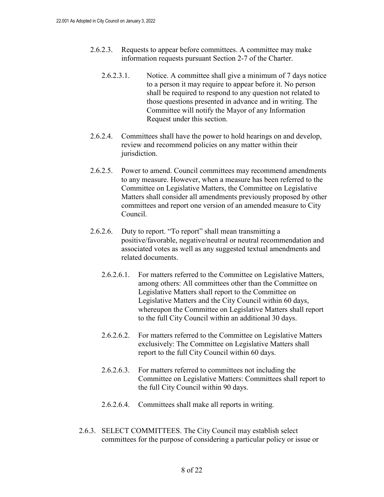- 2.6.2.3. Requests to appear before committees. A committee may make information requests pursuant Section 2-7 of the Charter.
	- 2.6.2.3.1. Notice. A committee shall give a minimum of 7 days notice to a person it may require to appear before it. No person shall be required to respond to any question not related to those questions presented in advance and in writing. The Committee will notify the Mayor of any Information Request under this section.
- 2.6.2.4. Committees shall have the power to hold hearings on and develop, review and recommend policies on any matter within their jurisdiction.
- 2.6.2.5. Power to amend. Council committees may recommend amendments to any measure. However, when a measure has been referred to the Committee on Legislative Matters, the Committee on Legislative Matters shall consider all amendments previously proposed by other committees and report one version of an amended measure to City Council.
- 2.6.2.6. Duty to report. "To report" shall mean transmitting a positive/favorable, negative/neutral or neutral recommendation and associated votes as well as any suggested textual amendments and related documents.
	- 2.6.2.6.1. For matters referred to the Committee on Legislative Matters, among others: All committees other than the Committee on Legislative Matters shall report to the Committee on Legislative Matters and the City Council within 60 days, whereupon the Committee on Legislative Matters shall report to the full City Council within an additional 30 days.
	- 2.6.2.6.2. For matters referred to the Committee on Legislative Matters exclusively: The Committee on Legislative Matters shall report to the full City Council within 60 days.
	- 2.6.2.6.3. For matters referred to committees not including the Committee on Legislative Matters: Committees shall report to the full City Council within 90 days.
	- 2.6.2.6.4. Committees shall make all reports in writing.
- 2.6.3. SELECT COMMITTEES. The City Council may establish select committees for the purpose of considering a particular policy or issue or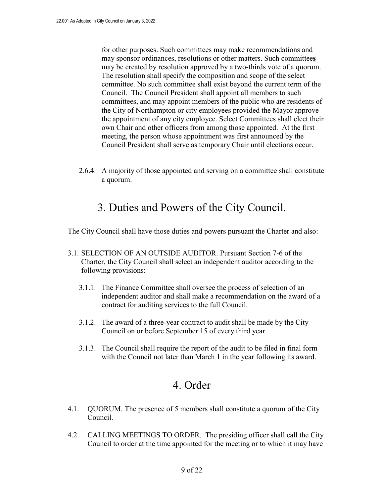for other purposes. Such committees may make recommendations and may sponsor ordinances, resolutions or other matters. Such committee**s** may be created by resolution approved by a two-thirds vote of a quorum. The resolution shall specify the composition and scope of the select committee. No such committee shall exist beyond the current term of the Council. The Council President shall appoint all members to such committees, and may appoint members of the public who are residents of the City of Northampton or city employees provided the Mayor approve the appointment of any city employee. Select Committees shall elect their own Chair and other officers from among those appointed. At the first meeting, the person whose appointment was first announced by the Council President shall serve as temporary Chair until elections occur.

2.6.4. A majority of those appointed and serving on a committee shall constitute a quorum.

### 3. Duties and Powers of the City Council.

The City Council shall have those duties and powers pursuant the Charter and also:

- 3.1. SELECTION OF AN OUTSIDE AUDITOR. Pursuant Section 7-6 of the Charter, the City Council shall select an independent auditor according to the following provisions:
	- 3.1.1. The Finance Committee shall oversee the process of selection of an independent auditor and shall make a recommendation on the award of a contract for auditing services to the full Council.
	- 3.1.2. The award of a three-year contract to audit shall be made by the City Council on or before September 15 of every third year.
	- 3.1.3. The Council shall require the report of the audit to be filed in final form with the Council not later than March 1 in the year following its award.

### 4. Order

- 4.1. QUORUM. The presence of 5 members shall constitute a quorum of the City Council.
- 4.2. CALLING MEETINGS TO ORDER. The presiding officer shall call the City Council to order at the time appointed for the meeting or to which it may have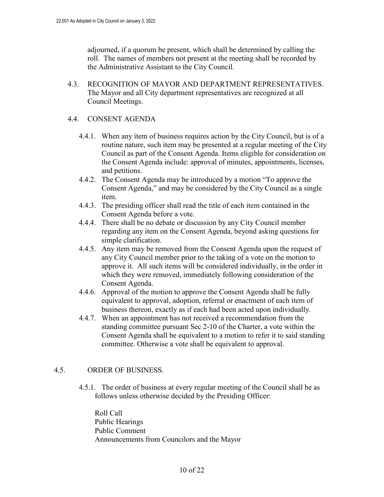adjourned, if a quorum be present, which shall be determined by calling the roll. The names of members not present at the meeting shall be recorded by the Administrative Assistant to the City Council.

4.3. RECOGNITION OF MAYOR AND DEPARTMENT REPRESENTATIVES. The Mayor and all City department representatives are recognized at all Council Meetings.

#### 4.4. CONSENT AGENDA

- 4.4.1. When any item of business requires action by the City Council, but is of a routine nature, such item may be presented at a regular meeting of the City Council as part of the Consent Agenda. Items eligible for consideration on the Consent Agenda include: approval of minutes, appointments, licenses, and petitions.
- 4.4.2. The Consent Agenda may be introduced by a motion "To approve the Consent Agenda," and may be considered by the City Council as a single item.
- 4.4.3. The presiding officer shall read the title of each item contained in the Consent Agenda before a vote.
- 4.4.4. There shall be no debate or discussion by any City Council member regarding any item on the Consent Agenda, beyond asking questions for simple clarification.
- 4.4.5. Any item may be removed from the Consent Agenda upon the request of any City Council member prior to the taking of a vote on the motion to approve it. All such items will be considered individually, in the order in which they were removed, immediately following consideration of the Consent Agenda.
- 4.4.6. Approval of the motion to approve the Consent Agenda shall be fully equivalent to approval, adoption, referral or enactment of each item of business thereon, exactly as if each had been acted upon individually.
- 4.4.7. When an appointment has not received a recommendation from the standing committee pursuant Sec 2-10 of the Charter, a vote within the Consent Agenda shall be equivalent to a motion to refer it to said standing committee. Otherwise a vote shall be equivalent to approval.

#### 4.5. ORDER OF BUSINESS.

4.5.1. The order of business at every regular meeting of the Council shall be as follows unless otherwise decided by the Presiding Officer:

Roll Call Public Hearings Public Comment Announcements from Councilors and the Mayor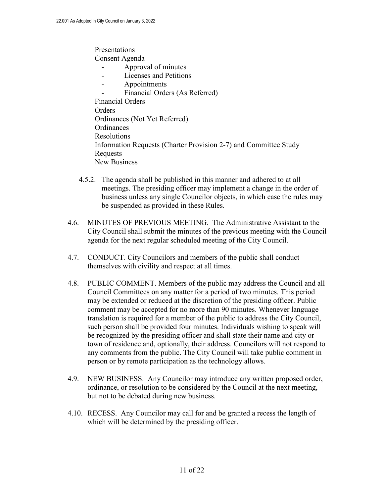Presentations Consent Agenda - Approval of minutes - Licenses and Petitions - Appointments Financial Orders (As Referred) Financial Orders **Orders** Ordinances (Not Yet Referred) **Ordinances** Resolutions Information Requests (Charter Provision 2-7) and Committee Study Requests New Business

- 4.5.2. The agenda shall be published in this manner and adhered to at all meetings. The presiding officer may implement a change in the order of business unless any single Councilor objects, in which case the rules may be suspended as provided in these Rules.
- 4.6. MINUTES OF PREVIOUS MEETING. The Administrative Assistant to the City Council shall submit the minutes of the previous meeting with the Council agenda for the next regular scheduled meeting of the City Council.
- 4.7. CONDUCT. City Councilors and members of the public shall conduct themselves with civility and respect at all times.
- 4.8. PUBLIC COMMENT. Members of the public may address the Council and all Council Committees on any matter for a period of two minutes. This period may be extended or reduced at the discretion of the presiding officer. Public comment may be accepted for no more than 90 minutes. Whenever language translation is required for a member of the public to address the City Council, such person shall be provided four minutes. Individuals wishing to speak will be recognized by the presiding officer and shall state their name and city or town of residence and, optionally, their address. Councilors will not respond to any comments from the public. The City Council will take public comment in person or by remote participation as the technology allows.
- 4.9. NEW BUSINESS. Any Councilor may introduce any written proposed order, ordinance, or resolution to be considered by the Council at the next meeting, but not to be debated during new business.
- 4.10. RECESS. Any Councilor may call for and be granted a recess the length of which will be determined by the presiding officer.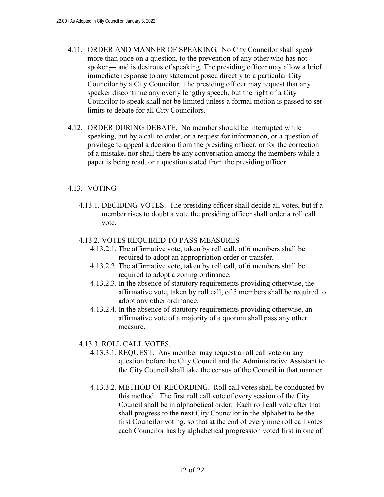- 4.11. ORDER AND MANNER OF SPEAKING. No City Councilor shall speak more than once on a question, to the prevention of any other who has not spoken—and is desirous of speaking. The presiding officer may allow a brief immediate response to any statement posed directly to a particular City Councilor by a City Councilor. The presiding officer may request that any speaker discontinue any overly lengthy speech, but the right of a City Councilor to speak shall not be limited unless a formal motion is passed to set limits to debate for all City Councilors.
- 4.12. ORDER DURING DEBATE. No member should be interrupted while speaking, but by a call to order, or a request for information, or a question of privilege to appeal a decision from the presiding officer, or for the correction of a mistake, nor shall there be any conversation among the members while a paper is being read, or a question stated from the presiding officer

#### 4.13. VOTING

4.13.1. DECIDING VOTES. The presiding officer shall decide all votes, but if a member rises to doubt a vote the presiding officer shall order a roll call vote.

#### 4.13.2. VOTES REQUIRED TO PASS MEASURES

- 4.13.2.1. The affirmative vote, taken by roll call, of 6 members shall be required to adopt an appropriation order or transfer.
- 4.13.2.2. The affirmative vote, taken by roll call, of 6 members shall be required to adopt a zoning ordinance.
- 4.13.2.3. In the absence of statutory requirements providing otherwise, the affirmative vote, taken by roll call, of 5 members shall be required to adopt any other ordinance.
- 4.13.2.4. In the absence of statutory requirements providing otherwise, an affirmative vote of a majority of a quorum shall pass any other measure.

#### 4.13.3. ROLL CALL VOTES.

- 4.13.3.1. REQUEST. Any member may request a roll call vote on any question before the City Council and the Administrative Assistant to the City Council shall take the census of the Council in that manner.
- 4.13.3.2. METHOD OF RECORDING. Roll call votes shall be conducted by this method. The first roll call vote of every session of the City Council shall be in alphabetical order. Each roll call vote after that shall progress to the next City Councilor in the alphabet to be the first Councilor voting, so that at the end of every nine roll call votes each Councilor has by alphabetical progression voted first in one of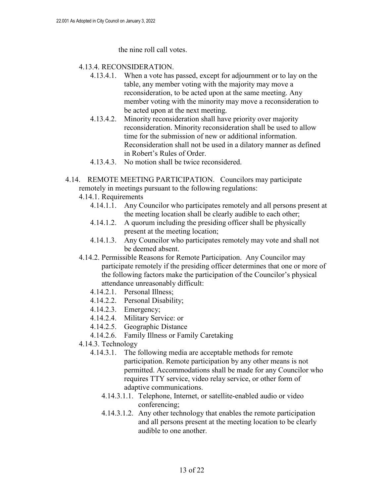the nine roll call votes.

#### 4.13.4. RECONSIDERATION.

- 4.13.4.1. When a vote has passed, except for adjournment or to lay on the table, any member voting with the majority may move a reconsideration, to be acted upon at the same meeting. Any member voting with the minority may move a reconsideration to be acted upon at the next meeting.
- 4.13.4.2. Minority reconsideration shall have priority over majority reconsideration. Minority reconsideration shall be used to allow time for the submission of new or additional information. Reconsideration shall not be used in a dilatory manner as defined in Robert's Rules of Order.
- 4.13.4.3. No motion shall be twice reconsidered.
- 4.14. REMOTE MEETING PARTICIPATION. Councilors may participate remotely in meetings pursuant to the following regulations:
	- 4.14.1. Requirements
		- 4.14.1.1. Any Councilor who participates remotely and all persons present at the meeting location shall be clearly audible to each other;
		- 4.14.1.2. A quorum including the presiding officer shall be physically present at the meeting location;
		- 4.14.1.3. Any Councilor who participates remotely may vote and shall not be deemed absent.
	- 4.14.2. Permissible Reasons for Remote Participation. Any Councilor may participate remotely if the presiding officer determines that one or more of the following factors make the participation of the Councilor's physical attendance unreasonably difficult:
		- 4.14.2.1. Personal Illness;
		- 4.14.2.2. Personal Disability;
		- 4.14.2.3. Emergency;
		- 4.14.2.4. Military Service: or
		- 4.14.2.5. Geographic Distance
		- 4.14.2.6. Family Illness or Family Caretaking
	- 4.14.3. Technology
		- 4.14.3.1. The following media are acceptable methods for remote participation. Remote participation by any other means is not permitted. Accommodations shall be made for any Councilor who requires TTY service, video relay service, or other form of adaptive communications.
			- 4.14.3.1.1. Telephone, Internet, or satellite-enabled audio or video conferencing;
			- 4.14.3.1.2. Any other technology that enables the remote participation and all persons present at the meeting location to be clearly audible to one another.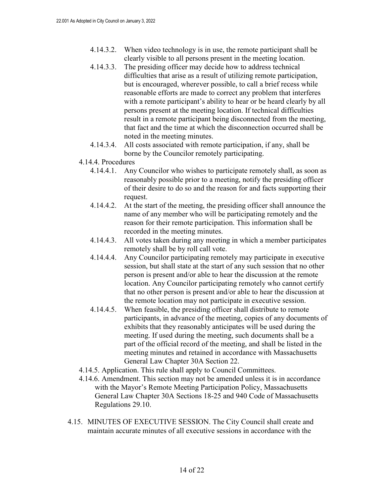- 4.14.3.2. When video technology is in use, the remote participant shall be clearly visible to all persons present in the meeting location.
- 4.14.3.3. The presiding officer may decide how to address technical difficulties that arise as a result of utilizing remote participation, but is encouraged, wherever possible, to call a brief recess while reasonable efforts are made to correct any problem that interferes with a remote participant's ability to hear or be heard clearly by all persons present at the meeting location. If technical difficulties result in a remote participant being disconnected from the meeting, that fact and the time at which the disconnection occurred shall be noted in the meeting minutes.
- 4.14.3.4. All costs associated with remote participation, if any, shall be borne by the Councilor remotely participating.
- 4.14.4. Procedures
	- 4.14.4.1. Any Councilor who wishes to participate remotely shall, as soon as reasonably possible prior to a meeting, notify the presiding officer of their desire to do so and the reason for and facts supporting their request.
	- 4.14.4.2. At the start of the meeting, the presiding officer shall announce the name of any member who will be participating remotely and the reason for their remote participation. This information shall be recorded in the meeting minutes.
	- 4.14.4.3. All votes taken during any meeting in which a member participates remotely shall be by roll call vote.
	- 4.14.4.4. Any Councilor participating remotely may participate in executive session, but shall state at the start of any such session that no other person is present and/or able to hear the discussion at the remote location. Any Councilor participating remotely who cannot certify that no other person is present and/or able to hear the discussion at the remote location may not participate in executive session.
	- 4.14.4.5. When feasible, the presiding officer shall distribute to remote participants, in advance of the meeting, copies of any documents of exhibits that they reasonably anticipates will be used during the meeting. If used during the meeting, such documents shall be a part of the official record of the meeting, and shall be listed in the meeting minutes and retained in accordance with Massachusetts General Law Chapter 30A Section 22.
- 4.14.5. Application. This rule shall apply to Council Committees.
- 4.14.6. Amendment. This section may not be amended unless it is in accordance with the Mayor's Remote Meeting Participation Policy, Massachusetts General Law Chapter 30A Sections 18-25 and 940 Code of Massachusetts Regulations 29.10.
- 4.15. MINUTES OF EXECUTIVE SESSION. The City Council shall create and maintain accurate minutes of all executive sessions in accordance with the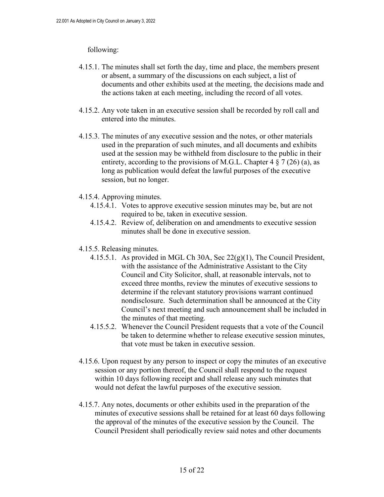#### following:

- 4.15.1. The minutes shall set forth the day, time and place, the members present or absent, a summary of the discussions on each subject, a list of documents and other exhibits used at the meeting, the decisions made and the actions taken at each meeting, including the record of all votes.
- 4.15.2. Any vote taken in an executive session shall be recorded by roll call and entered into the minutes.
- 4.15.3. The minutes of any executive session and the notes, or other materials used in the preparation of such minutes, and all documents and exhibits used at the session may be withheld from disclosure to the public in their entirety, according to the provisions of M.G.L. Chapter 4  $\S$  7 (26) (a), as long as publication would defeat the lawful purposes of the executive session, but no longer.
- 4.15.4. Approving minutes.
	- 4.15.4.1. Votes to approve executive session minutes may be, but are not required to be, taken in executive session.
	- 4.15.4.2. Review of, deliberation on and amendments to executive session minutes shall be done in executive session.
- 4.15.5. Releasing minutes.
	- 4.15.5.1. As provided in MGL Ch 30A, Sec 22(g)(1), The Council President, with the assistance of the Administrative Assistant to the City Council and City Solicitor, shall, at reasonable intervals, not to exceed three months, review the minutes of executive sessions to determine if the relevant statutory provisions warrant continued nondisclosure. Such determination shall be announced at the City Council's next meeting and such announcement shall be included in the minutes of that meeting.
	- 4.15.5.2. Whenever the Council President requests that a vote of the Council be taken to determine whether to release executive session minutes, that vote must be taken in executive session.
- 4.15.6. Upon request by any person to inspect or copy the minutes of an executive session or any portion thereof, the Council shall respond to the request within 10 days following receipt and shall release any such minutes that would not defeat the lawful purposes of the executive session.
- 4.15.7. Any notes, documents or other exhibits used in the preparation of the minutes of executive sessions shall be retained for at least 60 days following the approval of the minutes of the executive session by the Council. The Council President shall periodically review said notes and other documents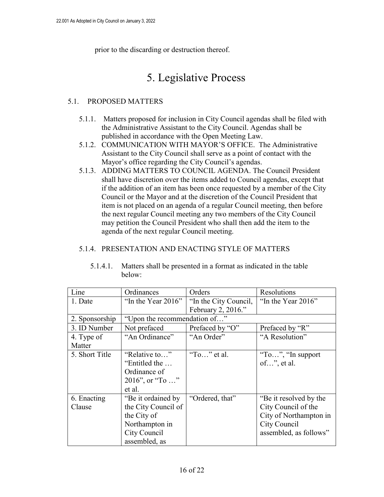prior to the discarding or destruction thereof.

## 5. Legislative Process

#### 5.1. PROPOSED MATTERS

- 5.1.1. Matters proposed for inclusion in City Council agendas shall be filed with the Administrative Assistant to the City Council. Agendas shall be published in accordance with the Open Meeting Law.
- 5.1.2. COMMUNICATION WITH MAYOR'S OFFICE. The Administrative Assistant to the City Council shall serve as a point of contact with the Mayor's office regarding the City Council's agendas.
- 5.1.3. ADDING MATTERS TO COUNCIL AGENDA. The Council President shall have discretion over the items added to Council agendas, except that if the addition of an item has been once requested by a member of the City Council or the Mayor and at the discretion of the Council President that item is not placed on an agenda of a regular Council meeting, then before the next regular Council meeting any two members of the City Council may petition the Council President who shall then add the item to the agenda of the next regular Council meeting.

#### 5.1.4. PRESENTATION AND ENACTING STYLE OF MATTERS

| Line           | Ordinances                   | Orders                | Resolutions            |  |  |
|----------------|------------------------------|-----------------------|------------------------|--|--|
| 1. Date        | "In the Year $2016$ "        | "In the City Council, | "In the Year 2016"     |  |  |
|                |                              | February 2, 2016."    |                        |  |  |
| 2. Sponsorship | "Upon the recommendation of" |                       |                        |  |  |
| 3. ID Number   | Not prefaced                 | Prefaced by "O"       | Prefaced by "R"        |  |  |
| 4. Type of     | "An Ordinance"               | "An Order"            | "A Resolution"         |  |  |
| Matter         |                              |                       |                        |  |  |
| 5. Short Title | "Relative to"                | "To" et al.           | "To", "In support"     |  |  |
|                | "Entitled the                |                       | $of$ ", et al.         |  |  |
|                | Ordinance of                 |                       |                        |  |  |
|                | 2016", or "To "              |                       |                        |  |  |
|                | et al.                       |                       |                        |  |  |
| 6. Enacting    | "Be it ordained by           | "Ordered, that"       | "Be it resolved by the |  |  |
| Clause         | the City Council of          |                       | City Council of the    |  |  |
|                | the City of                  |                       | City of Northampton in |  |  |
|                | Northampton in               |                       | City Council           |  |  |
|                | City Council                 |                       | assembled, as follows" |  |  |
|                | assembled, as                |                       |                        |  |  |

5.1.4.1. Matters shall be presented in a format as indicated in the table below: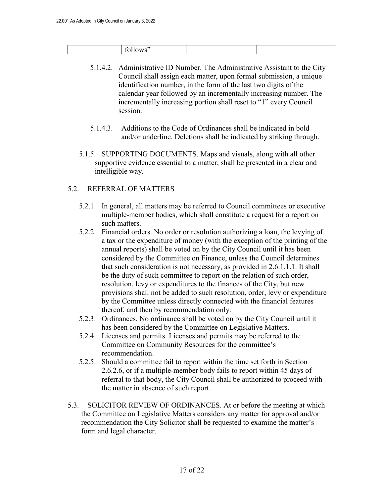|  |  | w |  |  |
|--|--|---|--|--|
|--|--|---|--|--|

- 5.1.4.2. Administrative ID Number. The Administrative Assistant to the City Council shall assign each matter, upon formal submission, a unique identification number, in the form of the last two digits of the calendar year followed by an incrementally increasing number. The incrementally increasing portion shall reset to "1" every Council session.
- 5.1.4.3. Additions to the Code of Ordinances shall be indicated in bold and/or underline. Deletions shall be indicated by striking through.
- 5.1.5. SUPPORTING DOCUMENTS. Maps and visuals, along with all other supportive evidence essential to a matter, shall be presented in a clear and intelligible way.

#### 5.2. REFERRAL OF MATTERS

- 5.2.1. In general, all matters may be referred to Council committees or executive multiple-member bodies, which shall constitute a request for a report on such matters.
- 5.2.2. Financial orders. No order or resolution authorizing a loan, the levying of a tax or the expenditure of money (with the exception of the printing of the annual reports) shall be voted on by the City Council until it has been considered by the Committee on Finance, unless the Council determines that such consideration is not necessary, as provided in 2.6.1.1.1. It shall be the duty of such committee to report on the relation of such order, resolution, levy or expenditures to the finances of the City, but new provisions shall not be added to such resolution, order, levy or expenditure by the Committee unless directly connected with the financial features thereof, and then by recommendation only.
- 5.2.3. Ordinances. No ordinance shall be voted on by the City Council until it has been considered by the Committee on Legislative Matters.
- 5.2.4. Licenses and permits. Licenses and permits may be referred to the Committee on Community Resources for the committee's recommendation.
- 5.2.5. Should a committee fail to report within the time set forth in Section 2.6.2.6, or if a multiple-member body fails to report within 45 days of referral to that body, the City Council shall be authorized to proceed with the matter in absence of such report.
- 5.3. SOLICITOR REVIEW OF ORDINANCES. At or before the meeting at which the Committee on Legislative Matters considers any matter for approval and/or recommendation the City Solicitor shall be requested to examine the matter's form and legal character.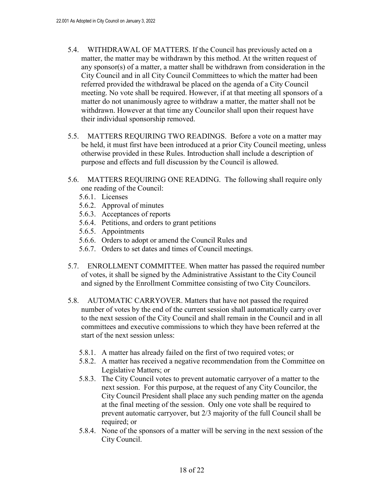- 5.4. WITHDRAWAL OF MATTERS. If the Council has previously acted on a matter, the matter may be withdrawn by this method. At the written request of any sponsor(s) of a matter, a matter shall be withdrawn from consideration in the City Council and in all City Council Committees to which the matter had been referred provided the withdrawal be placed on the agenda of a City Council meeting. No vote shall be required. However, if at that meeting all sponsors of a matter do not unanimously agree to withdraw a matter, the matter shall not be withdrawn. However at that time any Councilor shall upon their request have their individual sponsorship removed.
- 5.5. MATTERS REQUIRING TWO READINGS. Before a vote on a matter may be held, it must first have been introduced at a prior City Council meeting, unless otherwise provided in these Rules. Introduction shall include a description of purpose and effects and full discussion by the Council is allowed.
- 5.6. MATTERS REQUIRING ONE READING. The following shall require only one reading of the Council:
	- 5.6.1. Licenses
	- 5.6.2. Approval of minutes
	- 5.6.3. Acceptances of reports
	- 5.6.4. Petitions, and orders to grant petitions
	- 5.6.5. Appointments
	- 5.6.6. Orders to adopt or amend the Council Rules and
	- 5.6.7. Orders to set dates and times of Council meetings.
- 5.7. ENROLLMENT COMMITTEE. When matter has passed the required number of votes, it shall be signed by the Administrative Assistant to the City Council and signed by the Enrollment Committee consisting of two City Councilors.
- 5.8. AUTOMATIC CARRYOVER. Matters that have not passed the required number of votes by the end of the current session shall automatically carry over to the next session of the City Council and shall remain in the Council and in all committees and executive commissions to which they have been referred at the start of the next session unless:
	- 5.8.1. A matter has already failed on the first of two required votes; or
	- 5.8.2. A matter has received a negative recommendation from the Committee on Legislative Matters; or
	- 5.8.3. The City Council votes to prevent automatic carryover of a matter to the next session. For this purpose, at the request of any City Councilor, the City Council President shall place any such pending matter on the agenda at the final meeting of the session. Only one vote shall be required to prevent automatic carryover, but 2/3 majority of the full Council shall be required; or
	- 5.8.4. None of the sponsors of a matter will be serving in the next session of the City Council.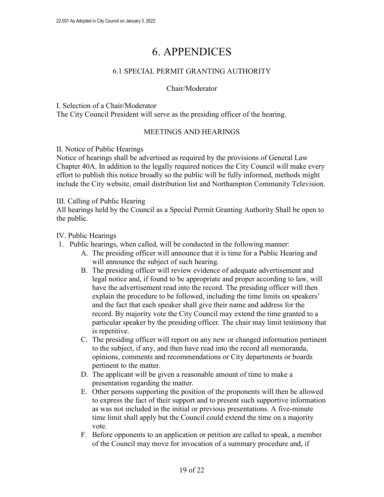## 6. APPENDICES

#### 6.1 SPECIAL PERMIT GRANTING AUTHORITY

#### Chair/Moderator

#### I. Selection of a Chair/Moderator

The City Council President will serve as the presiding officer of the hearing.

#### MEETINGS AND HEARINGS

#### II. Notice of Public Hearings

Notice of hearings shall be advertised as required by the provisions of General Law Chapter 40A. In addition to the legally required notices the City Council will make every effort to publish this notice broadly so the public will be fully informed, methods might include the City website, email distribution list and Northampton Community Television.

#### III. Calling of Public Hearing

All hearings held by the Council as a Special Permit Granting Authority Shall be open to the public.

#### IV. Public Hearings

- 1. Public hearings, when called, will be conducted in the following manner:
	- A. The presiding officer will announce that it is time for a Public Hearing and will announce the subject of such hearing.
	- B. The presiding officer will review evidence of adequate advertisement and legal notice and, if found to be appropriate and proper according to law, will have the advertisement read into the record. The presiding officer will then explain the procedure to be followed, including the time limits on speakers' and the fact that each speaker shall give their name and address for the record. By majority vote the City Council may extend the time granted to a particular speaker by the presiding officer. The chair may limit testimony that is repetitive.
	- C. The presiding officer will report on any new or changed information pertinent to the subject, if any, and then have read into the record all memoranda, opinions, comments and recommendations or City departments or boards pertinent to the matter.
	- D. The applicant will be given a reasonable amount of time to make a presentation regarding the matter.
	- E. Other persons supporting the position of the proponents will then be allowed to express the fact of their support and to present such supportive information as was not included in the initial or previous presentations. A five-minute time limit shall apply but the Council could extend the time on a majority vote.
	- F. Before opponents to an application or petition are called to speak, a member of the Council may move for invocation of a summary procedure and, if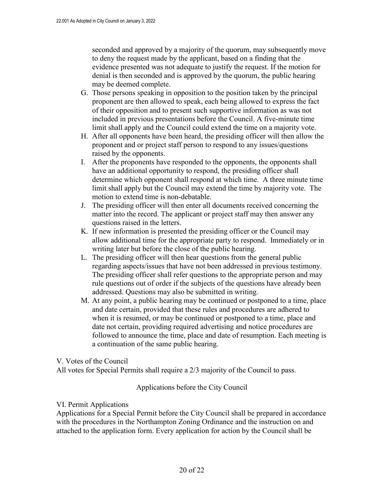seconded and approved by a majority of the quorum, may subsequently move to deny the request made by the applicant, based on a finding that the evidence presented was not adequate to justify the request. If the motion for denial is then seconded and is approved by the quorum, the public hearing may be deemed complete.

- G. Those persons speaking in opposition to the position taken by the principal proponent are then allowed to speak, each being allowed to express the fact of their opposition and to present such supportive information as was not included in previous presentations before the Council. A five-minute time limit shall apply and the Council could extend the time on a majority vote.
- H. After all opponents have been heard, the presiding officer will then allow the proponent and or project staff person to respond to any issues/questions raised by the opponents.
- I. After the proponents have responded to the opponents, the opponents shall have an additional opportunity to respond, the presiding officer shall determine which opponent shall respond at which time. A three minute time limit shall apply but the Council may extend the time by majority vote. The motion to extend time is non-debatable.
- J. The presiding officer will then enter all documents received concerning the matter into the record. The applicant or project staff may then answer any questions raised in the letters.
- K. If new information is presented the presiding officer or the Council may allow additional time for the appropriate party to respond. Immediately or in writing later but before the close of the public hearing.
- L. The presiding officer will then hear questions from the general public regarding aspects/issues that have not been addressed in previous testimony. The presiding officer shall refer questions to the appropriate person and may rule questions out of order if the subjects of the questions have already been addressed. Questions may also be submitted in writing.
- M. At any point, a public hearing may be continued or postponed to a time, place and date certain, provided that these rules and procedures are adhered to when it is resumed, or may be continued or postponed to a time, place and date not certain, providing required advertising and notice procedures are followed to announce the time, place and date of resumption. Each meeting is a continuation of the same public hearing.

V. Votes of the Council

All votes for Special Permits shall require a 2/3 majority of the Council to pass.

Applications before the City Council

#### VI. Permit Applications

Applications for a Special Permit before the City Council shall be prepared in accordance with the procedures in the Northampton Zoning Ordinance and the instruction on and attached to the application form. Every application for action by the Council shall be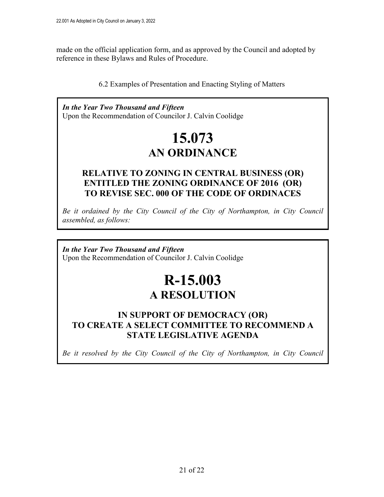made on the official application form, and as approved by the Council and adopted by reference in these Bylaws and Rules of Procedure.

#### 6.2 Examples of Presentation and Enacting Styling of Matters

*In the Year Two Thousand and Fifteen* Upon the Recommendation of Councilor J. Calvin Coolidge

# **15.073 AN ORDINANCE**

### **RELATIVE TO ZONING IN CENTRAL BUSINESS (OR) ENTITLED THE ZONING ORDINANCE OF 2016 (OR) TO REVISE SEC. 000 OF THE CODE OF ORDINACES**

*Be it ordained by the City Council of the City of Northampton, in City Council assembled, as follows:* 

*In the Year Two Thousand and Fifteen* Upon the Recommendation of Councilor J. Calvin Coolidge

# **R-15.003 A RESOLUTION**

### **IN SUPPORT OF DEMOCRACY (OR) TO CREATE A SELECT COMMITTEE TO RECOMMEND A STATE LEGISLATIVE AGENDA**

*Be it resolved by the City Council of the City of Northampton, in City Council*